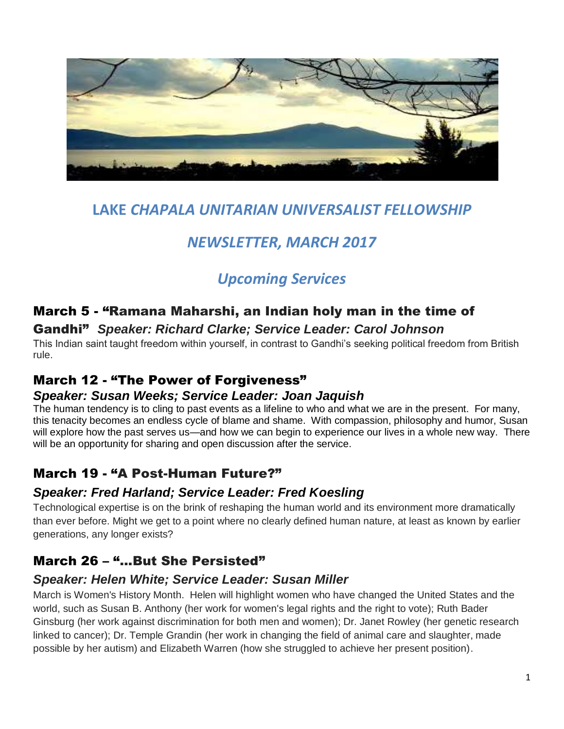

# **LAKE** *CHAPALA UNITARIAN UNIVERSALIST FELLOWSHIP*

# *NEWSLETTER, MARCH 2017*

# *Upcoming Services*

## March 5 - "Ramana Maharshi, an Indian holy man in the time of

## Gandhi" *Speaker: Richard Clarke; Service Leader: Carol Johnson*

This Indian saint taught freedom within yourself, in contrast to Gandhi's seeking political freedom from British rule.

## March 12 - "The Power of Forgiveness"

## *Speaker: Susan Weeks; Service Leader: Joan Jaquish*

The human tendency is to cling to past events as a lifeline to who and what we are in the present. For many, this tenacity becomes an endless cycle of blame and shame. With compassion, philosophy and humor, Susan will explore how the past serves us—and how we can begin to experience our lives in a whole new way. There will be an opportunity for sharing and open discussion after the service.

## March 19 - "A Post-Human Future?"

## *Speaker: Fred Harland; Service Leader: Fred Koesling*

Technological expertise is on the brink of reshaping the human world and its environment more dramatically than ever before. Might we get to a point where no clearly defined human nature, at least as known by earlier generations, any longer exists?

## March 26 - "...But She Persisted"

## *Speaker: Helen White; Service Leader: Susan Miller*

March is Women's History Month. Helen will highlight women who have changed the United States and the world, such as Susan B. Anthony (her work for women's legal rights and the right to vote); Ruth Bader Ginsburg (her work against discrimination for both men and women); Dr. Janet Rowley (her genetic research linked to cancer); Dr. Temple Grandin (her work in changing the field of animal care and slaughter, made possible by her autism) and Elizabeth Warren (how she struggled to achieve her present position).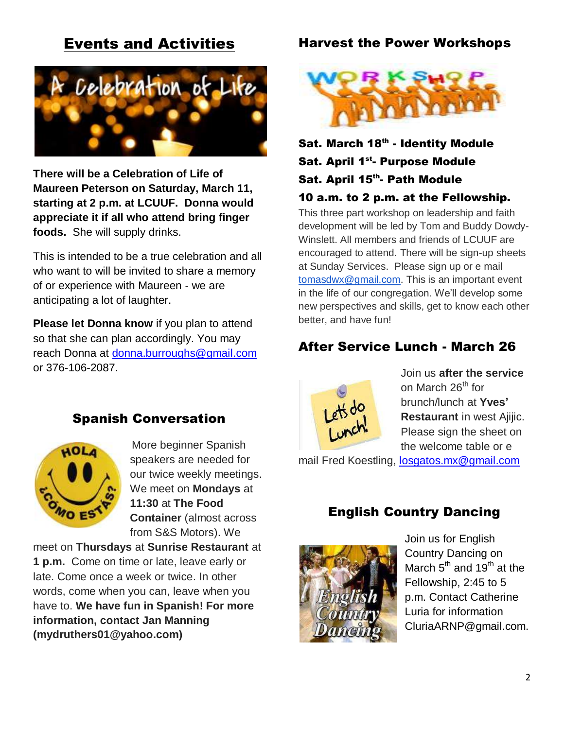# Events and Activities



**There will be a Celebration of Life of Maureen Peterson on Saturday, March 11, starting at 2 p.m. at LCUUF. Donna would appreciate it if all who attend bring finger foods.** She will supply drinks.

This is intended to be a true celebration and all who want to will be invited to share a memory of or experience with Maureen - we are anticipating a lot of laughter.

**Please let Donna know** if you plan to attend so that she can plan accordingly. You may reach Donna at [donna.burroughs@gmail.com](mailto:donna.burroughs@gmail.com) or 376-106-2087.

## Spanish Conversation



More beginner Spanish speakers are needed for our twice weekly meetings. We meet on **Mondays** at **11:30** at **The Food Container** (almost across from S&S Motors). We

meet on **Thursdays** at **Sunrise Restaurant** at **1 p.m.** Come on time or late, leave early or late. Come once a week or twice. In other words, come when you can, leave when you have to. **We have fun in Spanish! For more information, contact Jan Manning (mydruthers01@yahoo.com)**

#### Harvest the Power Workshops



# Sat. March 18<sup>th</sup> - Identity Module Sat. April 1<sup>st</sup>- Purpose Module Sat. April 15<sup>th</sup>- Path Module

#### 10 a.m. to 2 p.m. at the Fellowship.

This three part workshop on leadership and faith development will be led by Tom and Buddy Dowdy-Winslett. All members and friends of LCUUF are encouraged to attend. There will be sign-up sheets at Sunday Services. Please sign up or e mail [tomasdwx@gmail.com.](mailto:tomasdwx@gmail.com) This is an important event in the life of our congregation. We'll develop some new perspectives and skills, get to know each other better, and have fun!

## After Service Lunch - March 26



Join us **after the service** on March 26<sup>th</sup> for brunch/lunch at **Yves' Restaurant** in west Ajijic. Please sign the sheet on the welcome table or e

mail Fred Koestling, [losgatos.mx@gmail.com](mailto:losgatos.mx@gmail.com)

### English Country Dancing



Join us for English Country Dancing on March  $5^{th}$  and  $19^{th}$  at the Fellowship, 2:45 to 5 p.m. Contact Catherine Luria for information CluriaARNP@gmail.com.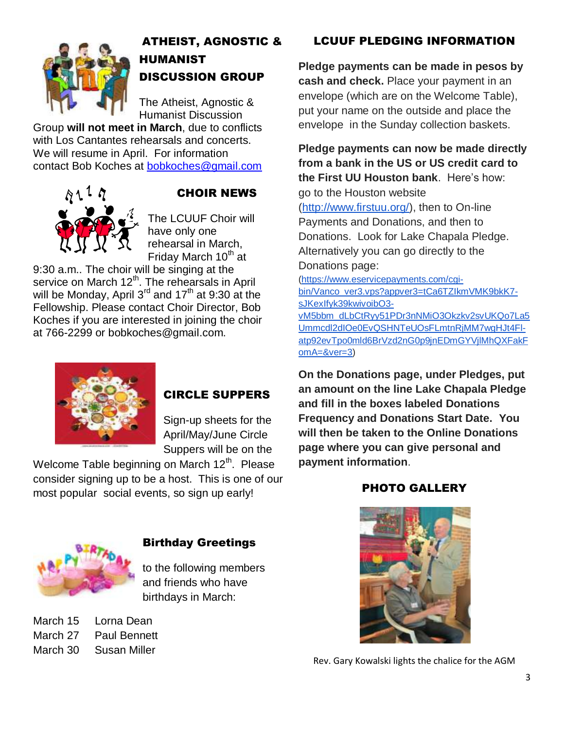

# ATHEIST, AGNOSTIC & HUMANIST DISCUSSION GROUP

The Atheist, Agnostic & Humanist Discussion

Group **will not meet in March**, due to conflicts with Los Cantantes rehearsals and concerts. We will resume in April. For information contact Bob Koches at [bobkoches@gmail.com](mailto:bobkoches@gmail.com)



## CHOIR NEWS

The LCUUF Choir will have only one rehearsal in March, Friday March  $10<sup>th</sup>$  at

9:30 a.m.. The choir will be singing at the service on March 12<sup>th</sup>. The rehearsals in April will be Monday, April  $3<sup>rd</sup>$  and  $17<sup>th</sup>$  at 9:30 at the Fellowship. Please contact Choir Director, Bob Koches if you are interested in joining the choir at 766-2299 or bobkoches@gmail.com.



## CIRCLE SUPPERS

Sign-up sheets for the April/May/June Circle Suppers will be on the

Welcome Table beginning on March  $12<sup>th</sup>$ . Please consider signing up to be a host. This is one of our most popular social events, so sign up early!

## LCUUF PLEDGING INFORMATION

**Pledge payments can be made in pesos by cash and check.** Place your payment in an envelope (which are on the Welcome Table), put your name on the outside and place the envelope in the Sunday collection baskets.

**Pledge payments can now be made directly from a bank in the US or US credit card to the First UU Houston bank**. Here's how:

go to the Houston website [\(http://www.firstuu.org/\)](http://www.firstuu.org/), then to On-line Payments and Donations, and then to Donations. Look for Lake Chapala Pledge. Alternatively you can go directly to the Donations page:

[\(https://www.eservicepayments.com/cgi](https://www.eservicepayments.com/cgi-bin/Vanco_ver3.vps?appver3=tCa6TZIkmVMK9bkK7-sJKexIfyk39kwivoibO3-vM5bbm_dLbCtRyy51PDr3nNMiO3Okzkv2svUKQo7La5Ummcdl2dIOe0EvQSHNTeUOsFLmtnRjMM7wgHJt4Fl-atp92evTpo0mld6BrVzd2nG0p9jnEDmGYVjlMhQXFakFomA=&ver=3)[bin/Vanco\\_ver3.vps?appver3=tCa6TZIkmVMK9bkK7](https://www.eservicepayments.com/cgi-bin/Vanco_ver3.vps?appver3=tCa6TZIkmVMK9bkK7-sJKexIfyk39kwivoibO3-vM5bbm_dLbCtRyy51PDr3nNMiO3Okzkv2svUKQo7La5Ummcdl2dIOe0EvQSHNTeUOsFLmtnRjMM7wgHJt4Fl-atp92evTpo0mld6BrVzd2nG0p9jnEDmGYVjlMhQXFakFomA=&ver=3) [sJKexIfyk39kwivoibO3](https://www.eservicepayments.com/cgi-bin/Vanco_ver3.vps?appver3=tCa6TZIkmVMK9bkK7-sJKexIfyk39kwivoibO3-vM5bbm_dLbCtRyy51PDr3nNMiO3Okzkv2svUKQo7La5Ummcdl2dIOe0EvQSHNTeUOsFLmtnRjMM7wgHJt4Fl-atp92evTpo0mld6BrVzd2nG0p9jnEDmGYVjlMhQXFakFomA=&ver=3) [vM5bbm\\_dLbCtRyy51PDr3nNMiO3Okzkv2svUKQo7La5](https://www.eservicepayments.com/cgi-bin/Vanco_ver3.vps?appver3=tCa6TZIkmVMK9bkK7-sJKexIfyk39kwivoibO3-vM5bbm_dLbCtRyy51PDr3nNMiO3Okzkv2svUKQo7La5Ummcdl2dIOe0EvQSHNTeUOsFLmtnRjMM7wgHJt4Fl-atp92evTpo0mld6BrVzd2nG0p9jnEDmGYVjlMhQXFakFomA=&ver=3)

[Ummcdl2dIOe0EvQSHNTeUOsFLmtnRjMM7wgHJt4Fl](https://www.eservicepayments.com/cgi-bin/Vanco_ver3.vps?appver3=tCa6TZIkmVMK9bkK7-sJKexIfyk39kwivoibO3-vM5bbm_dLbCtRyy51PDr3nNMiO3Okzkv2svUKQo7La5Ummcdl2dIOe0EvQSHNTeUOsFLmtnRjMM7wgHJt4Fl-atp92evTpo0mld6BrVzd2nG0p9jnEDmGYVjlMhQXFakFomA=&ver=3)[atp92evTpo0mld6BrVzd2nG0p9jnEDmGYVjlMhQXFakF](https://www.eservicepayments.com/cgi-bin/Vanco_ver3.vps?appver3=tCa6TZIkmVMK9bkK7-sJKexIfyk39kwivoibO3-vM5bbm_dLbCtRyy51PDr3nNMiO3Okzkv2svUKQo7La5Ummcdl2dIOe0EvQSHNTeUOsFLmtnRjMM7wgHJt4Fl-atp92evTpo0mld6BrVzd2nG0p9jnEDmGYVjlMhQXFakFomA=&ver=3) [omA=&ver=3\)](https://www.eservicepayments.com/cgi-bin/Vanco_ver3.vps?appver3=tCa6TZIkmVMK9bkK7-sJKexIfyk39kwivoibO3-vM5bbm_dLbCtRyy51PDr3nNMiO3Okzkv2svUKQo7La5Ummcdl2dIOe0EvQSHNTeUOsFLmtnRjMM7wgHJt4Fl-atp92evTpo0mld6BrVzd2nG0p9jnEDmGYVjlMhQXFakFomA=&ver=3)

**On the Donations page, under Pledges, put an amount on the line Lake Chapala Pledge and fill in the boxes labeled Donations Frequency and Donations Start Date. You will then be taken to the Online Donations page where you can give personal and payment information**.

### PHOTO GALLERY



### Birthday Greetings

to the following members and friends who have birthdays in March:

March 15 Lorna Dean March 27 Paul Bennett March 30 Susan Miller



Rev. Gary Kowalski lights the chalice for the AGM